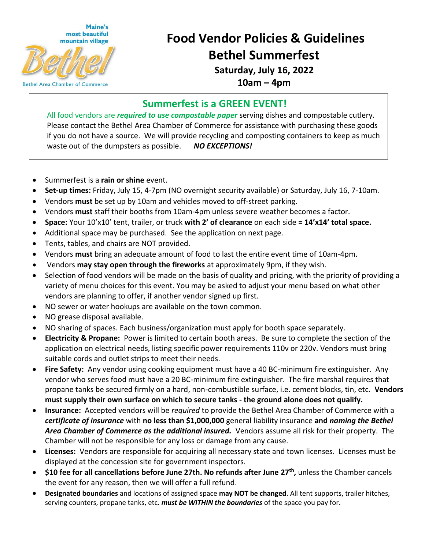

# **Food Vendor Policies & Guidelines Bethel Summerfest Saturday, July 16, 2022 10am – 4pm**

### **Summerfest is a GREEN EVENT!**

All food vendors are *required to use compostable paper* serving dishes and compostable cutlery. Please contact the Bethel Area Chamber of Commerce for assistance with purchasing these goods if you do not have a source. We will provide recycling and composting containers to keep as much waste out of the dumpsters as possible. *NO EXCEPTIONS!*

- Summerfest is a **rain or shine** event.
- **Set-up times:** Friday, July 15, 4-7pm (NO overnight security available) or Saturday, July 16, 7-10am.
- Vendors **must** be set up by 10am and vehicles moved to off-street parking.
- Vendors **must** staff their booths from 10am-4pm unless severe weather becomes a factor.
- **Space:** Your 10'x10' tent, trailer, or truck **with 2' of clearance** on each side **= 14'x14' total space.**
- Additional space may be purchased. See the application on next page.
- Tents, tables, and chairs are NOT provided.
- Vendors **must** bring an adequate amount of food to last the entire event time of 10am-4pm.
- Vendors **may stay open through the fireworks** at approximately 9pm, if they wish.
- Selection of food vendors will be made on the basis of quality and pricing, with the priority of providing a variety of menu choices for this event. You may be asked to adjust your menu based on what other vendors are planning to offer, if another vendor signed up first.
- NO sewer or water hookups are available on the town common.
- NO grease disposal available.
- NO sharing of spaces. Each business/organization must apply for booth space separately.
- **Electricity & Propane:** Power is limited to certain booth areas. Be sure to complete the section of the application on electrical needs, listing specific power requirements 110v or 220v. Vendors must bring suitable cords and outlet strips to meet their needs.
- **Fire Safety:** Any vendor using cooking equipment must have a 40 BC-minimum fire extinguisher. Any vendor who serves food must have a 20 BC-minimum fire extinguisher. The fire marshal requires that propane tanks be secured firmly on a hard, non-combustible surface, i.e. cement blocks, tin, etc. **Vendors must supply their own surface on which to secure tanks - the ground alone does not qualify.**
- **Insurance:** Accepted vendors will be *required* to provide the Bethel Area Chamber of Commerce with a *certificate of insurance* with **no less than \$1,000,000** general liability insurance **and** *naming the Bethel Area Chamber of Commerce as the additional insured.* Vendors assume all risk for their property. The Chamber will not be responsible for any loss or damage from any cause.
- **Licenses:** Vendors are responsible for acquiring all necessary state and town licenses. Licenses must be displayed at the concession site for government inspectors.
- **\$10 fee for all cancellations before June 27th. No refunds after June 27 th ,** unless the Chamber cancels the event for any reason, then we will offer a full refund.
- **Designated boundaries** and locations of assigned space **may NOT be changed**. All tent supports, trailer hitches, serving counters, propane tanks, etc. *must be WITHIN the boundaries* of the space you pay for.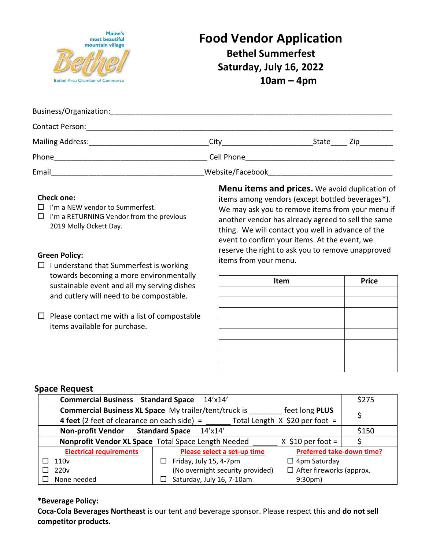

## **Food Vendor Application Bethel Summerfest Saturday, July 16, 2022 10am – 4pm**

| Business/Organization:               |                  |       |                                                                                                               |  |
|--------------------------------------|------------------|-------|---------------------------------------------------------------------------------------------------------------|--|
| <b>Contact Person:</b>               |                  |       |                                                                                                               |  |
| Mailing Address:<br>Mailing Address: | City             | State | Zip in the set of the set of the set of the set of the set of the set of the set of the set of the set of the |  |
| Phone                                | Cell Phone       |       |                                                                                                               |  |
| Email                                | Website/Facebook |       |                                                                                                               |  |

#### **Check one:**

- $\Box$  I'm a NEW vendor to Summerfest.
- $\Box$  I'm a RETURNING Vendor from the previous 2019 Molly Ockett Day.

#### **Green Policy:**

- $\Box$  I understand that Summerfest is working towards becoming a more environmentally sustainable event and all my serving dishes and cutlery will need to be compostable.
- $\square$  Please contact me with a list of compostable items available for purchase.

**Menu items and prices.** We avoid duplication of items among vendors (except bottled beverages**\***). We may ask you to remove items from your menu if another vendor has already agreed to sell the same thing. We will contact you well in advance of the event to confirm your items. At the event, we reserve the right to ask you to remove unapproved items from your menu.

| Item | <b>Price</b> |
|------|--------------|
|      |              |
|      |              |
|      |              |
|      |              |
|      |              |
|      |              |
|      |              |
|      |              |

#### **Space Request**

|                                          | <b>Commercial Business Standard Space</b> | 14'x14'                                                      |                                  | \$275 |
|------------------------------------------|-------------------------------------------|--------------------------------------------------------------|----------------------------------|-------|
|                                          |                                           | <b>Commercial Business XL Space</b> My trailer/tent/truck is | feet long PLUS                   |       |
|                                          |                                           |                                                              |                                  |       |
| Non-profit Vendor Standard Space 14'x14' |                                           |                                                              | \$150                            |       |
|                                          |                                           | Nonprofit Vendor XL Space Total Space Length Needed          | $X$ \$10 per foot =              |       |
|                                          | <b>Electrical requirements</b>            | Please select a set-up time                                  | <b>Preferred take-down time?</b> |       |
|                                          | 110 <sub>v</sub>                          | Friday, July 15, 4-7pm<br>Ш                                  | $\Box$ 4pm Saturday              |       |
|                                          | 220 <sub>v</sub>                          | (No overnight security provided)                             | $\Box$ After fireworks (approx.  |       |
|                                          | None needed                               | Saturday, July 16, 7-10am                                    | 9:30 <sub>pm</sub>               |       |

#### **\*Beverage Policy:**

**Coca-Cola Beverages Northeast** is our tent and beverage sponsor. Please respect this and **do not sell competitor products.**